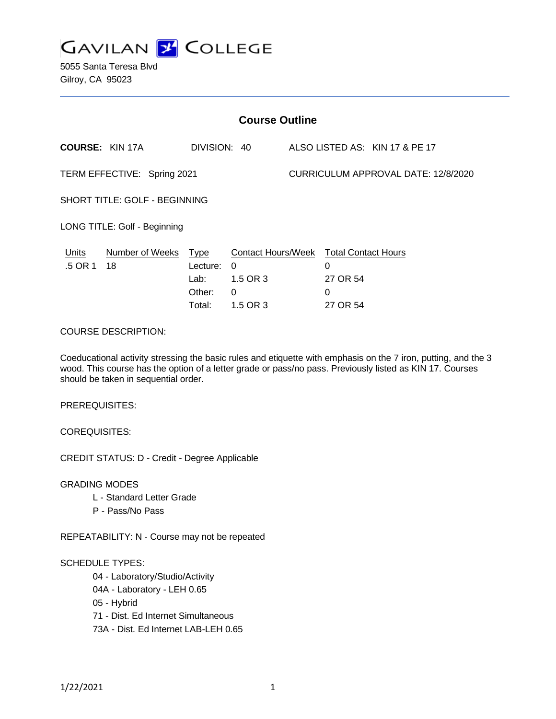

5055 Santa Teresa Blvd Gilroy, CA 95023

| <b>Course Outline</b>         |                              |                                                     |                                                                    |                                     |                                                              |                                |
|-------------------------------|------------------------------|-----------------------------------------------------|--------------------------------------------------------------------|-------------------------------------|--------------------------------------------------------------|--------------------------------|
|                               | <b>COURSE: KIN 17A</b>       | DIVISION: 40                                        |                                                                    |                                     |                                                              | ALSO LISTED AS: KIN 17 & PE 17 |
| TERM EFFECTIVE: Spring 2021   |                              |                                                     |                                                                    | CURRICULUM APPROVAL DATE: 12/8/2020 |                                                              |                                |
| SHORT TITLE: GOLF - BEGINNING |                              |                                                     |                                                                    |                                     |                                                              |                                |
| LONG TITLE: Golf - Beginning  |                              |                                                     |                                                                    |                                     |                                                              |                                |
| <b>Units</b><br>.5 OR 1       | <b>Number of Weeks</b><br>18 | <u>Type</u><br>Lecture:<br>Lab:<br>Other:<br>Total: | <b>Contact Hours/Week</b><br>$\Omega$<br>1.5 OR 3<br>0<br>1.5 OR 3 |                                     | <b>Total Contact Hours</b><br>0<br>27 OR 54<br>0<br>27 OR 54 |                                |
| <b>COURSE DESCRIPTION:</b>    |                              |                                                     |                                                                    |                                     |                                                              |                                |

Coeducational activity stressing the basic rules and etiquette with emphasis on the 7 iron, putting, and the 3 wood. This course has the option of a letter grade or pass/no pass. Previously listed as KIN 17. Courses should be taken in sequential order.

PREREQUISITES:

COREQUISITES:

CREDIT STATUS: D - Credit - Degree Applicable

GRADING MODES

- L Standard Letter Grade
- P Pass/No Pass

REPEATABILITY: N - Course may not be repeated

#### SCHEDULE TYPES:

04 - Laboratory/Studio/Activity

- 04A Laboratory LEH 0.65
- 05 Hybrid

71 - Dist. Ed Internet Simultaneous

73A - Dist. Ed Internet LAB-LEH 0.65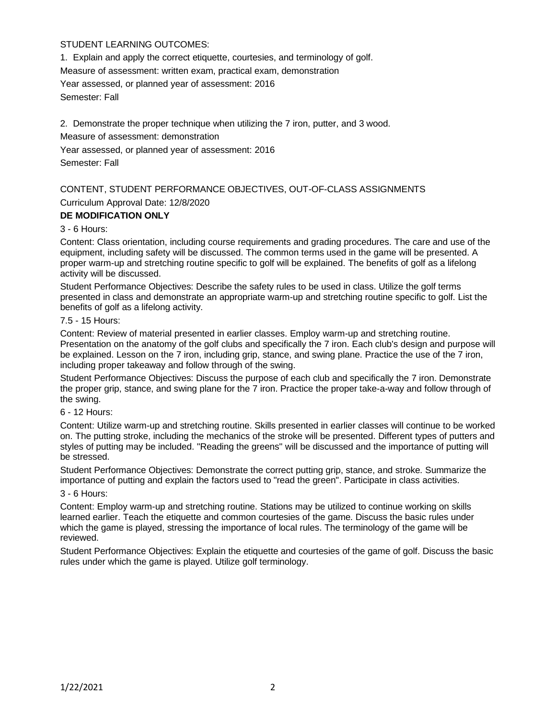# STUDENT LEARNING OUTCOMES:

1. Explain and apply the correct etiquette, courtesies, and terminology of golf. Measure of assessment: written exam, practical exam, demonstration Year assessed, or planned year of assessment: 2016 Semester: Fall

2. Demonstrate the proper technique when utilizing the 7 iron, putter, and 3 wood. Measure of assessment: demonstration Year assessed, or planned year of assessment: 2016 Semester: Fall

# CONTENT, STUDENT PERFORMANCE OBJECTIVES, OUT-OF-CLASS ASSIGNMENTS Curriculum Approval Date: 12/8/2020

## **DE MODIFICATION ONLY**

## 3 - 6 Hours:

Content: Class orientation, including course requirements and grading procedures. The care and use of the equipment, including safety will be discussed. The common terms used in the game will be presented. A proper warm-up and stretching routine specific to golf will be explained. The benefits of golf as a lifelong activity will be discussed.

Student Performance Objectives: Describe the safety rules to be used in class. Utilize the golf terms presented in class and demonstrate an appropriate warm-up and stretching routine specific to golf. List the benefits of golf as a lifelong activity.

#### 7.5 - 15 Hours:

Content: Review of material presented in earlier classes. Employ warm-up and stretching routine. Presentation on the anatomy of the golf clubs and specifically the 7 iron. Each club's design and purpose will be explained. Lesson on the 7 iron, including grip, stance, and swing plane. Practice the use of the 7 iron, including proper takeaway and follow through of the swing.

Student Performance Objectives: Discuss the purpose of each club and specifically the 7 iron. Demonstrate the proper grip, stance, and swing plane for the 7 iron. Practice the proper take-a-way and follow through of the swing.

#### 6 - 12 Hours:

Content: Utilize warm-up and stretching routine. Skills presented in earlier classes will continue to be worked on. The putting stroke, including the mechanics of the stroke will be presented. Different types of putters and styles of putting may be included. "Reading the greens" will be discussed and the importance of putting will be stressed.

Student Performance Objectives: Demonstrate the correct putting grip, stance, and stroke. Summarize the importance of putting and explain the factors used to "read the green". Participate in class activities.

## 3 - 6 Hours:

Content: Employ warm-up and stretching routine. Stations may be utilized to continue working on skills learned earlier. Teach the etiquette and common courtesies of the game. Discuss the basic rules under which the game is played, stressing the importance of local rules. The terminology of the game will be reviewed.

Student Performance Objectives: Explain the etiquette and courtesies of the game of golf. Discuss the basic rules under which the game is played. Utilize golf terminology.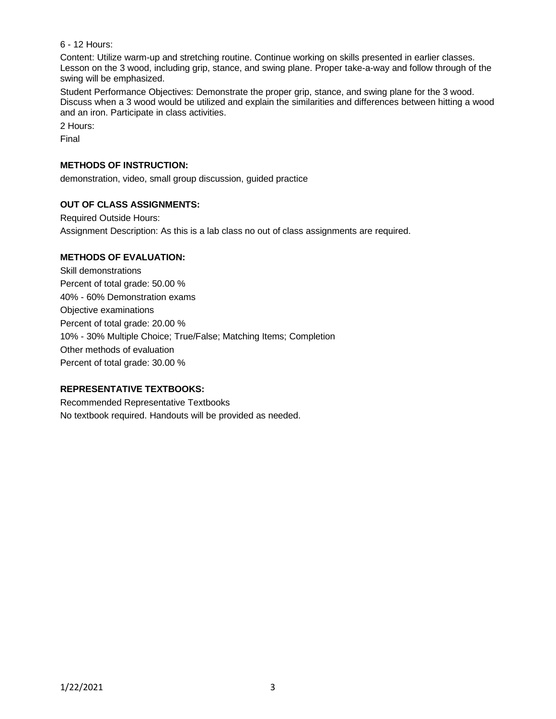## 6 - 12 Hours:

Content: Utilize warm-up and stretching routine. Continue working on skills presented in earlier classes. Lesson on the 3 wood, including grip, stance, and swing plane. Proper take-a-way and follow through of the swing will be emphasized.

Student Performance Objectives: Demonstrate the proper grip, stance, and swing plane for the 3 wood. Discuss when a 3 wood would be utilized and explain the similarities and differences between hitting a wood and an iron. Participate in class activities.

2 Hours:

Final

#### **METHODS OF INSTRUCTION:**

demonstration, video, small group discussion, guided practice

# **OUT OF CLASS ASSIGNMENTS:**

Required Outside Hours:

Assignment Description: As this is a lab class no out of class assignments are required.

#### **METHODS OF EVALUATION:**

Skill demonstrations Percent of total grade: 50.00 % 40% - 60% Demonstration exams Objective examinations Percent of total grade: 20.00 % 10% - 30% Multiple Choice; True/False; Matching Items; Completion Other methods of evaluation Percent of total grade: 30.00 %

## **REPRESENTATIVE TEXTBOOKS:**

Recommended Representative Textbooks No textbook required. Handouts will be provided as needed.